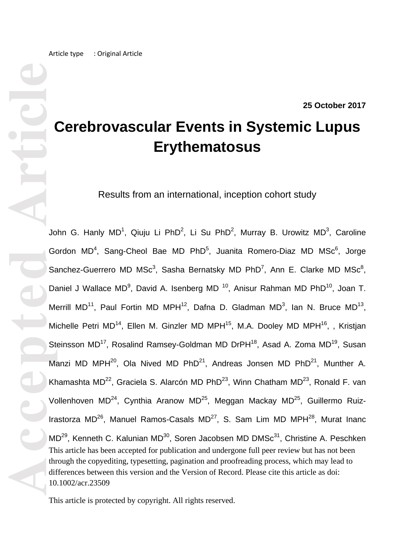#### **25 October 2017**

# **Cerebrovascular Events in Systemic Lupus Erythematosus**

Results from an international, inception cohort study

**Accepted Article**<br> **Article**<br> **Article**<br> **Article**<br> **Article**<br> **Article**<br> **Article**<br> **Article**<br> **Article**<br> **Article**<br> **Article**<br> **Article**<br> **Article**<br> **Article**<br> **Article**<br> **Article**<br> **Article** This article has been accepted for publication and undergone full peer review but has not been through the copyediting, typesetting, pagination and proofreading process, which may lead to differences between this version and the Version of Record. Please cite this article as doi: 10.1002/acr.23509 John G. Hanly MD<sup>1</sup>, Qiuju Li PhD<sup>2</sup>, Li Su PhD<sup>2</sup>, Murray B. Urowitz MD<sup>3</sup>, Caroline Gordon MD<sup>4</sup>, Sang-Cheol Bae MD PhD<sup>5</sup>, Juanita Romero-Diaz MD MSc<sup>6</sup>, Jorge Sanchez-Guerrero MD MS $c^3$ , Sasha Bernatsky MD PhD<sup>7</sup>, Ann E. Clarke MD MS $c^8$ , Daniel J Wallace MD<sup>9</sup>, David A. Isenberg MD<sup>10</sup>, Anisur Rahman MD PhD<sup>10</sup>, Joan T. Merrill MD<sup>11</sup>, Paul Fortin MD MPH<sup>12</sup>, Dafna D. Gladman MD<sup>3</sup>, Ian N. Bruce MD<sup>13</sup>, Michelle Petri MD<sup>14</sup>, Ellen M. Ginzler MD MPH<sup>15</sup>, M.A. Dooley MD MPH<sup>16</sup>, , Kristjan Steinsson MD<sup>17</sup>, Rosalind Ramsey-Goldman MD DrPH<sup>18</sup>, Asad A. Zoma MD<sup>19</sup>, Susan Manzi MD MPH<sup>20</sup>, Ola Nived MD PhD<sup>21</sup>, Andreas Jonsen MD PhD<sup>21</sup>, Munther A. Khamashta MD<sup>22</sup>, Graciela S. Alarcón MD PhD<sup>23</sup>, Winn Chatham MD<sup>23</sup>, Ronald F. van Vollenhoven MD<sup>24</sup>, Cynthia Aranow MD<sup>25</sup>, Meggan Mackay MD<sup>25</sup>, Guillermo Ruiz-Irastorza MD<sup>26</sup>, Manuel Ramos-Casals MD<sup>27</sup>, S. Sam Lim MD MPH<sup>28</sup>, Murat Inanc MD<sup>29</sup>, Kenneth C. Kalunian MD<sup>30</sup>, Soren Jacobsen MD DMSc<sup>31</sup>, Christine A. Peschken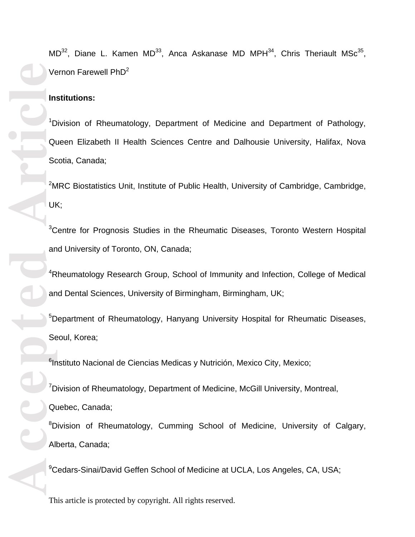$MD^{32}$ , Diane L. Kamen MD<sup>33</sup>, Anca Askanase MD MPH<sup>34</sup>, Chris Theriault MSc<sup>35</sup>, Vernon Farewell PhD<sup>2</sup>

## **Institutions:**

<sup>1</sup>Division of Rheumatology, Department of Medicine and Department of Pathology, Queen Elizabeth II Health Sciences Centre and Dalhousie University, Halifax, Nova Scotia, Canada;

<sup>2</sup>MRC Biostatistics Unit, Institute of Public Health, University of Cambridge, Cambridge,

<sup>3</sup>Centre for Prognosis Studies in the Rheumatic Diseases, Toronto Western Hospital and University of Toronto, ON, Canada;

<sup>4</sup>Rheumatology Research Group, School of Immunity and Infection, College of Medical and Dental Sciences, University of Birmingham, Birmingham, UK;

<sup>5</sup>Department of Rheumatology, Hanyang University Hospital for Rheumatic Diseases, Seoul, Korea;

<sup>6</sup>Instituto Nacional de Ciencias Medicas y Nutrición, Mexico City, Mexico;

<sup>7</sup>Division of Rheumatology, Department of Medicine, McGill University, Montreal, Quebec, Canada; <sup>8</sup>Division of Rheumatology, Cumming School of Medicine, University of Calgary, Alberta, Canada;

<sup>9</sup>Cedars-Sinai/David Geffen School of Medicine at UCLA, Los Angeles, CA, USA;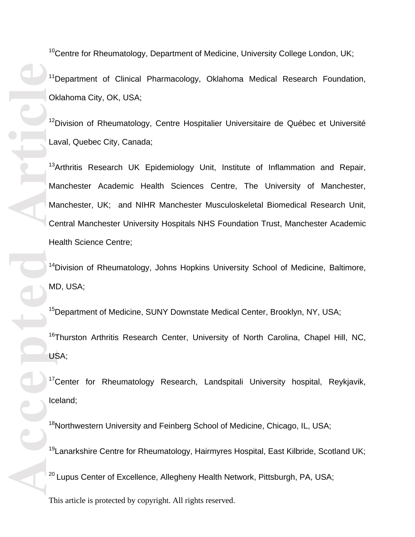<sup>10</sup>Centre for Rheumatology, Department of Medicine, University College London, UK; <sup>11</sup>Department of Clinical Pharmacology, Oklahoma Medical Research Foundation, Oklahoma City, OK, USA;

<sup>12</sup>Division of Rheumatology, Centre Hospitalier Universitaire de Québec et Université Laval, Quebec City, Canada;

<sup>13</sup>Arthritis Research UK Epidemiology Unit, Institute of Inflammation and Repair, Manchester Academic Health Sciences Centre, The University of Manchester, Manchester, UK; and NIHR Manchester Musculoskeletal Biomedical Research Unit, Central Manchester University Hospitals NHS Foundation Trust, Manchester Academic Health Science Centre;

<sup>14</sup>Division of Rheumatology, Johns Hopkins University School of Medicine, Baltimore, MD, USA;

<sup>15</sup>Department of Medicine, SUNY Downstate Medical Center, Brooklyn, NY, USA;

<sup>16</sup>Thurston Arthritis Research Center, University of North Carolina, Chapel Hill, NC, USA;

<sup>17</sup>Center for Rheumatology Research, Landspitali University hospital, Reykjavik, Iceland;

<sup>18</sup>Northwestern University and Feinberg School of Medicine, Chicago, IL, USA;

<sup>19</sup> Lanarkshire Centre for Rheumatology, Hairmyres Hospital, East Kilbride, Scotland UK;

<sup>20</sup> Lupus Center of Excellence, Allegheny Health Network, Pittsburgh, PA, USA;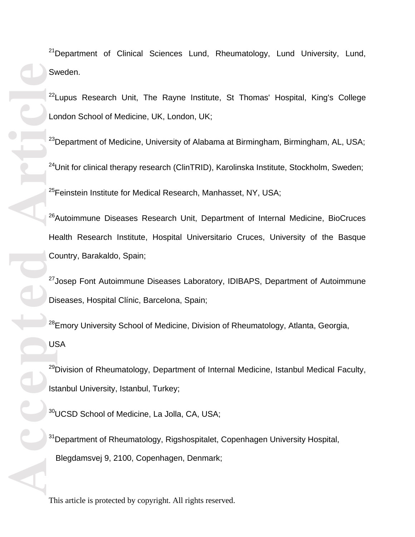$21$ Department of Clinical Sciences Lund, Rheumatology, Lund University, Lund, Sweden.

 $22$ Lupus Research Unit, The Rayne Institute, St Thomas' Hospital, King's College London School of Medicine, UK, London, UK;

 $23$ Department of Medicine, University of Alabama at Birmingham, Birmingham, AL, USA;  $24$ Unit for clinical therapy research (ClinTRID), Karolinska Institute, Stockholm, Sweden; <sup>25</sup>Feinstein Institute for Medical Research, Manhasset, NY, USA;

<sup>26</sup>Autoimmune Diseases Research Unit, Department of Internal Medicine, BioCruces Health Research Institute, Hospital Universitario Cruces, University of the Basque Country, Barakaldo, Spain;

<sup>27</sup> Josep Font Autoimmune Diseases Laboratory, IDIBAPS, Department of Autoimmune Diseases, Hospital Clínic, Barcelona, Spain;

<sup>28</sup>Emory University School of Medicine, Division of Rheumatology, Atlanta, Georgia, USA

<sup>29</sup>Division of Rheumatology, Department of Internal Medicine, Istanbul Medical Faculty, Istanbul University, Istanbul, Turkey;

<sup>30</sup>UCSD School of Medicine, La Jolla, CA, USA;

<sup>31</sup>Department of Rheumatology, Rigshospitalet, Copenhagen University Hospital, Blegdamsvej 9, 2100, Copenhagen, Denmark;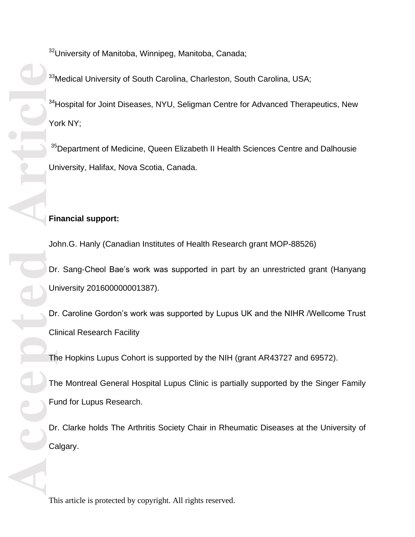<sup>32</sup>University of Manitoba, Winnipeg, Manitoba, Canada;

<sup>33</sup>Medical University of South Carolina, Charleston, South Carolina, USA;

<sup>34</sup>Hospital for Joint Diseases, NYU, Seligman Centre for Advanced Therapeutics, New York NY;

<sup>35</sup>Department of Medicine, Queen Elizabeth II Health Sciences Centre and Dalhousie University, Halifax, Nova Scotia, Canada.

# **Financial support:**

John.G. Hanly (Canadian Institutes of Health Research grant MOP-88526)

Dr. Sang-Cheol Bae's work was supported in part by an unrestricted grant (Hanyang University 201600000001387).

Dr. Caroline Gordon's work was supported by Lupus UK and the NIHR /Wellcome Trust Clinical Research Facility

The Hopkins Lupus Cohort is supported by the NIH (grant AR43727 and 69572).

The Montreal General Hospital Lupus Clinic is partially supported by the Singer Family Fund for Lupus Research.

Dr. Clarke holds The Arthritis Society Chair in Rheumatic Diseases at the University of Calgary.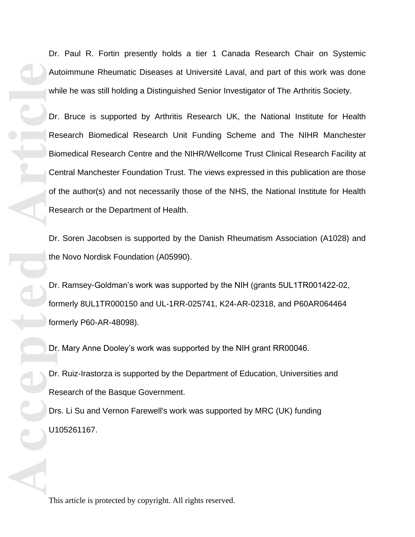Accepted **Article**<br> **Article**<br> **Article**<br> **Article**<br> **Article**<br> **Article**<br> **Article**<br> **Article**<br> **Article**<br> **Article**<br> **Article**<br> **Bic**<br> **Bic**<br> **Dr**<br> **Re**<br> **Dr**<br> **Dr**<br> **Dr**<br> **Dr**<br> **Dr**<br> **Dr**<br> **Dr**<br> **Dr**<br> **Dr**<br> **Dr**<br> **Dr**<br>

Dr. Paul R. Fortin presently holds a tier 1 Canada Research Chair on Systemic Autoimmune Rheumatic Diseases at Université Laval, and part of this work was done while he was still holding a Distinguished Senior Investigator of The Arthritis Society.

Dr. Bruce is supported by Arthritis Research UK, the National Institute for Health Research Biomedical Research Unit Funding Scheme and The NIHR Manchester Biomedical Research Centre and the NIHR/Wellcome Trust Clinical Research Facility at Central Manchester Foundation Trust. The views expressed in this publication are those of the author(s) and not necessarily those of the NHS, the National Institute for Health Research or the Department of Health.

Dr. Soren Jacobsen is supported by the Danish Rheumatism Association (A1028) and the Novo Nordisk Foundation (A05990).

Dr. Ramsey-Goldman's work was supported by the NIH (grants 5UL1TR001422-02, formerly 8UL1TR000150 and UL-1RR-025741, K24-AR-02318, and P60AR064464 formerly P60-AR-48098).

Dr. Mary Anne Dooley's work was supported by the NIH grant RR00046.

Dr. Ruiz-Irastorza is supported by the Department of Education, Universities and Research of the Basque Government.

Drs. Li Su and Vernon Farewell's work was supported by MRC (UK) funding U105261167.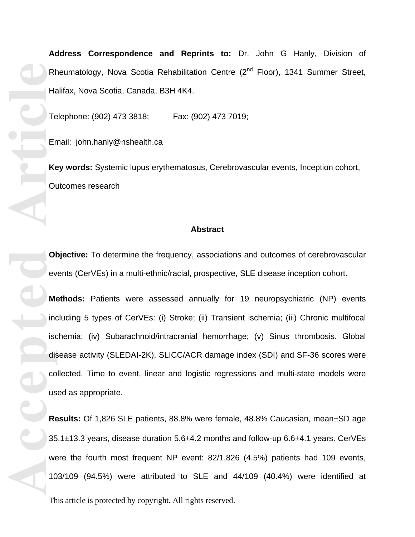RE<br> **Article**<br> **Article**<br> **Article**<br> **Article**<br> **Article**<br> **Article**<br> **Article**<br> **Article**<br> **Article**<br> **Article**<br> **Article**<br> **Article**<br> **Article**<br> **Article**<br> **Article**<br> **Article**<br> **Article**<br> **Article** 

**Address Correspondence and Reprints to:** Dr. John G Hanly, Division of Rheumatology, Nova Scotia Rehabilitation Centre (2<sup>nd</sup> Floor), 1341 Summer Street, Halifax, Nova Scotia, Canada, B3H 4K4.

Telephone: (902) 473 3818; Fax: (902) 473 7019;

Email: john.hanly@nshealth.ca

**Key words:** Systemic lupus erythematosus, Cerebrovascular events, Inception cohort, Outcomes research

#### **Abstract**

**Objective:** To determine the frequency, associations and outcomes of cerebrovascular events (CerVEs) in a multi-ethnic/racial, prospective, SLE disease inception cohort.

**Methods:** Patients were assessed annually for 19 neuropsychiatric (NP) events including 5 types of CerVEs: (i) Stroke; (ii) Transient ischemia; (iii) Chronic multifocal ischemia; (iv) Subarachnoid/intracranial hemorrhage; (v) Sinus thrombosis. Global disease activity (SLEDAI-2K), SLICC/ACR damage index (SDI) and SF-36 scores were collected. Time to event, linear and logistic regressions and multi-state models were used as appropriate.

**Results:** Of 1,826 SLE patients, 88.8% were female, 48.8% Caucasian, mean $\pm$ SD age  $35.1\pm13.3$  years, disease duration  $5.6\pm4.2$  months and follow-up  $6.6\pm4.1$  years. CerVEs were the fourth most frequent NP event: 82/1,826 (4.5%) patients had 109 events, 103/109 (94.5%) were attributed to SLE and 44/109 (40.4%) were identified at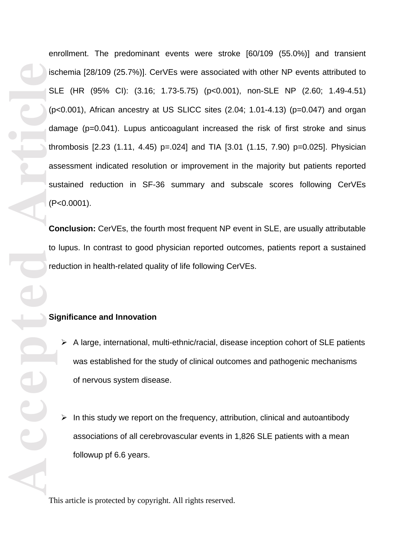**Article Control Control Control Control Control Control Control Control Control Control Control Control Control Control Control Control Control Control Control Control Control Control Control Control Control Control Contr** enrollment. The predominant events were stroke [60/109 (55.0%)] and transient ischemia [28/109 (25.7%)]. CerVEs were associated with other NP events attributed to SLE (HR (95% CI): (3.16; 1.73-5.75) (p<0.001), non-SLE NP (2.60; 1.49-4.51) (p<0.001), African ancestry at US SLICC sites (2.04; 1.01-4.13) (p=0.047) and organ damage (p=0.041). Lupus anticoagulant increased the risk of first stroke and sinus thrombosis [2.23 (1.11, 4.45) p=.024] and TIA [3.01 (1.15, 7.90) p=0.025]. Physician assessment indicated resolution or improvement in the majority but patients reported sustained reduction in SF-36 summary and subscale scores following CerVEs (P<0.0001).

**Conclusion:** CerVEs, the fourth most frequent NP event in SLE, are usually attributable to lupus. In contrast to good physician reported outcomes, patients report a sustained reduction in health-related quality of life following CerVEs.

# **Significance and Innovation**

- $\triangleright$  A large, international, multi-ethnic/racial, disease inception cohort of SLE patients was established for the study of clinical outcomes and pathogenic mechanisms of nervous system disease.
- $\triangleright$  In this study we report on the frequency, attribution, clinical and autoantibody associations of all cerebrovascular events in 1,826 SLE patients with a mean followup pf 6.6 years.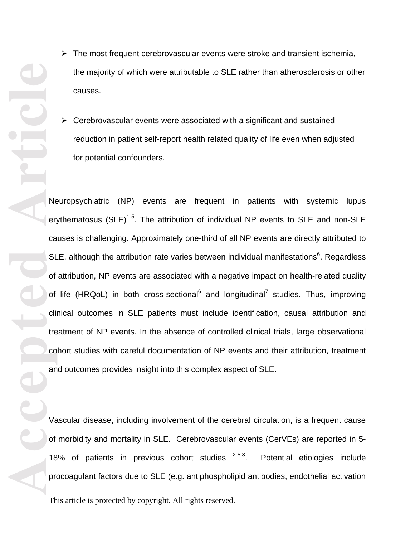- $\triangleright$  The most frequent cerebrovascular events were stroke and transient ischemia, the majority of which were attributable to SLE rather than atherosclerosis or other causes.
- $\triangleright$  Cerebrovascular events were associated with a significant and sustained reduction in patient self-report health related quality of life even when adjusted for potential confounders.

Neuropsychiatric (NP) events are frequent in patients with systemic lupus erythematosus (SLE)<sup>1-5</sup>. The attribution of individual NP events to SLE and non-SLE causes is challenging. Approximately one-third of all NP events are directly attributed to SLE, although the attribution rate varies between individual manifestations $6$ . Regardless of attribution, NP events are associated with a negative impact on health-related quality of life (HRQoL) in both cross-sectional<sup>6</sup> and longitudinal<sup>7</sup> studies. Thus, improving clinical outcomes in SLE patients must include identification, causal attribution and treatment of NP events. In the absence of controlled clinical trials, large observational cohort studies with careful documentation of NP events and their attribution, treatment and outcomes provides insight into this complex aspect of SLE.

Vascular disease, including involvement of the cerebral circulation, is a frequent cause of morbidity and mortality in SLE. Cerebrovascular events (CerVEs) are reported in 5- 18% of patients in previous cohort studies  $2-5,8$ . . Potential etiologies include procoagulant factors due to SLE (e.g. antiphospholipid antibodies, endothelial activation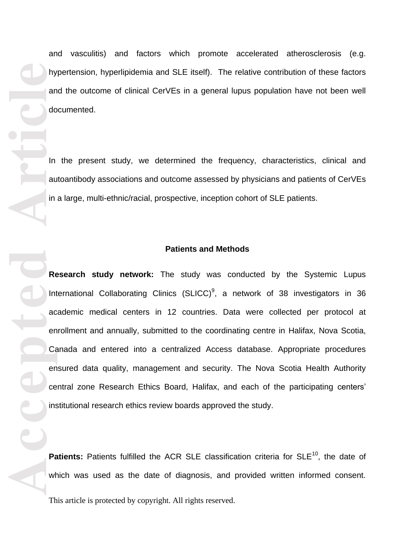**Accepted Article**<br> **Accepted**<br> **Article**<br> **Article**<br> **Article**<br> **Article**<br> **Article**<br> **Article**<br> **Article**<br> **Article**<br> **Article**<br> **Article**<br> **Article**<br> **Article**<br> **Article**<br> **Article**<br> **Article**<br> **Article**<br> **Article** hypertension, hyperlipidemia and SLE itself). The relative contribution of these factors and the outcome of clinical CerVEs in a general lupus population have not been well documented. In the present study, we determined the frequency, characteristics, clinical and autoantibody associations and outcome assessed by physicians and patients of CerVEs in a large, multi-ethnic/racial, prospective, inception cohort of SLE patients. **Patients and Methods Research study network:** The study was conducted by the Systemic Lupus International Collaborating Clinics (SLICC)<sup>9</sup>, a network of 38 investigators in 36 academic medical centers in 12 countries. Data were collected per protocol at enrollment and annually, submitted to the coordinating centre in Halifax, Nova Scotia, Canada and entered into a centralized Access database. Appropriate procedures ensured data quality, management and security. The Nova Scotia Health Authority central zone Research Ethics Board, Halifax, and each of the participating centers' institutional research ethics review boards approved the study.

Patients: Patients fulfilled the ACR SLE classification criteria for SLE<sup>10</sup>, the date of which was used as the date of diagnosis, and provided written informed consent.

and vasculitis) and factors which promote accelerated atherosclerosis (e.g.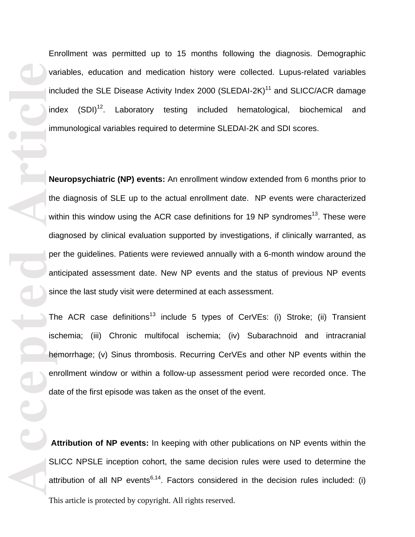**Accepted Article**<br> **Article**<br> **Article**<br> **Article**<br> **Article**<br> **Article**<br> **Article**<br> **Article**<br> **Article** 

Enrollment was permitted up to 15 months following the diagnosis. Demographic variables, education and medication history were collected. Lupus-related variables included the SLE Disease Activity Index 2000 (SLEDAI-2K)<sup>11</sup> and SLICC/ACR damage index  $(SDI)^{12}$ . Laboratory testing included hematological, biochemical and immunological variables required to determine SLEDAI-2K and SDI scores.

**Neuropsychiatric (NP) events:** An enrollment window extended from 6 months prior to the diagnosis of SLE up to the actual enrollment date. NP events were characterized within this window using the ACR case definitions for 19 NP syndromes<sup>13</sup>. These were diagnosed by clinical evaluation supported by investigations, if clinically warranted, as per the guidelines. Patients were reviewed annually with a 6-month window around the anticipated assessment date. New NP events and the status of previous NP events since the last study visit were determined at each assessment.

The ACR case definitions<sup>13</sup> include 5 types of CerVEs: (i) Stroke; (ii) Transient ischemia; (iii) Chronic multifocal ischemia; (iv) Subarachnoid and intracranial hemorrhage; (v) Sinus thrombosis. Recurring CerVEs and other NP events within the enrollment window or within a follow-up assessment period were recorded once. The date of the first episode was taken as the onset of the event.

This article is protected by copyright. All rights reserved. **Attribution of NP events:** In keeping with other publications on NP events within the SLICC NPSLE inception cohort, the same decision rules were used to determine the attribution of all NP events<sup>6,14</sup>. Factors considered in the decision rules included: (i)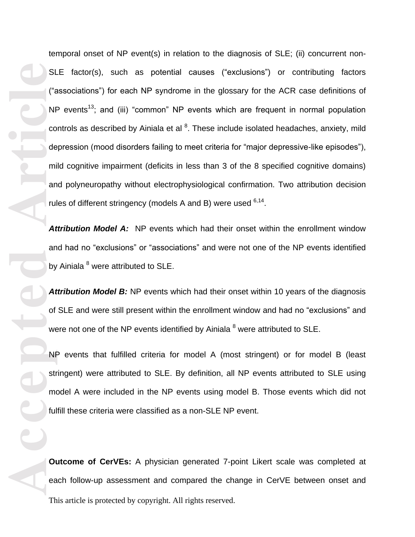**Accepted Article** temporal onset of NP event(s) in relation to the diagnosis of SLE; (ii) concurrent non-SLE factor(s), such as potential causes ("exclusions") or contributing factors ("associations") for each NP syndrome in the glossary for the ACR case definitions of  $NP$  events<sup>13</sup>; and (iii) "common" NP events which are frequent in normal population controls as described by Ainiala et al <sup>8</sup>. These include isolated headaches, anxiety, mild depression (mood disorders failing to meet criteria for "major depressive-like episodes"), mild cognitive impairment (deficits in less than 3 of the 8 specified cognitive domains) and polyneuropathy without electrophysiological confirmation. Two attribution decision rules of different stringency (models A and B) were used <sup>6,14</sup>.

*Attribution Model A:* NP events which had their onset within the enrollment window and had no "exclusions" or "associations" and were not one of the NP events identified by Ainiala<sup>8</sup> were attributed to SLE.

**Attribution Model B:** NP events which had their onset within 10 years of the diagnosis of SLE and were still present within the enrollment window and had no "exclusions" and were not one of the NP events identified by Ainiala  $<sup>8</sup>$  were attributed to SLE.</sup>

NP events that fulfilled criteria for model A (most stringent) or for model B (least stringent) were attributed to SLE. By definition, all NP events attributed to SLE using model A were included in the NP events using model B. Those events which did not fulfill these criteria were classified as a non-SLE NP event.

This article is protected by copyright. All rights reserved. **Outcome of CerVEs:** A physician generated 7-point Likert scale was completed at each follow-up assessment and compared the change in CerVE between onset and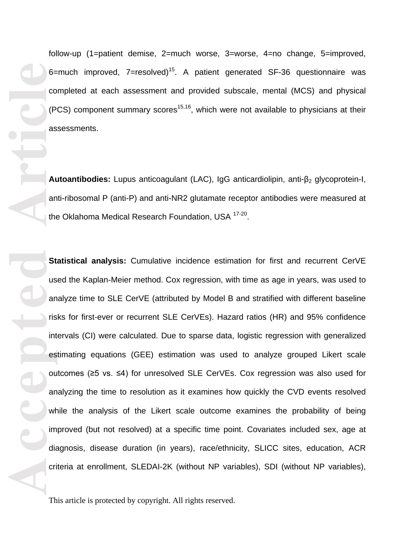follow-up (1=patient demise, 2=much worse, 3=worse, 4=no change, 5=improved, 6=much improved,  $7$ =resolved)<sup>15</sup>. A patient generated SF-36 questionnaire was completed at each assessment and provided subscale, mental (MCS) and physical (PCS) component summary scores<sup>15,16</sup>, which were not available to physicians at their assessments.

Autoantibodies: Lupus anticoagulant (LAC), IgG anticardiolipin, anti-β<sub>2</sub> glycoprotein-I, anti-ribosomal P (anti-P) and anti-NR2 glutamate receptor antibodies were measured at the Oklahoma Medical Research Foundation, USA <sup>17-20</sup>.

**Statistical analysis:** Cumulative incidence estimation for first and recurrent CerVE used the Kaplan-Meier method. Cox regression, with time as age in years, was used to analyze time to SLE CerVE (attributed by Model B and stratified with different baseline risks for first-ever or recurrent SLE CerVEs). Hazard ratios (HR) and 95% confidence intervals (CI) were calculated. Due to sparse data, logistic regression with generalized estimating equations (GEE) estimation was used to analyze grouped Likert scale outcomes (≥5 vs. ≤4) for unresolved SLE CerVEs. Cox regression was also used for analyzing the time to resolution as it examines how quickly the CVD events resolved while the analysis of the Likert scale outcome examines the probability of being improved (but not resolved) at a specific time point. Covariates included sex, age at diagnosis, disease duration (in years), race/ethnicity, SLICC sites, education, ACR criteria at enrollment, SLEDAI-2K (without NP variables), SDI (without NP variables),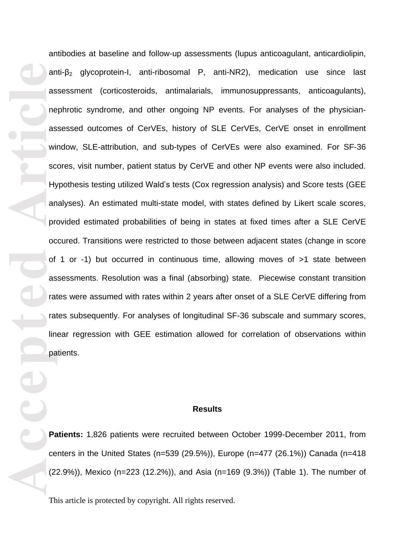**Accepted Article**<br> **A** are as will so H<sub>y</sub> an are as will so Hy an are as will so Hy an are as will so Hy an are as will so Hy an are as will so Hy an are as will so Hy an are as will so Hy an are as will so Hy an are a antibodies at baseline and follow-up assessments (lupus anticoagulant, anticardiolipin, anti- $\beta_2$  glycoprotein-I, anti-ribosomal P, anti-NR2), medication use since last assessment (corticosteroids, antimalarials, immunosuppressants, anticoagulants), nephrotic syndrome, and other ongoing NP events. For analyses of the physicianassessed outcomes of CerVEs, history of SLE CerVEs, CerVE onset in enrollment window, SLE-attribution, and sub-types of CerVEs were also examined. For SF-36 scores, visit number, patient status by CerVE and other NP events were also included. Hypothesis testing utilized Wald's tests (Cox regression analysis) and Score tests (GEE analyses). An estimated multi-state model, with states defined by Likert scale scores, provided estimated probabilities of being in states at fixed times after a SLE CerVE occured. Transitions were restricted to those between adjacent states (change in score of 1 or -1) but occurred in continuous time, allowing moves of >1 state between assessments. Resolution was a final (absorbing) state. Piecewise constant transition rates were assumed with rates within 2 years after onset of a SLE CerVE differing from rates subsequently. For analyses of longitudinal SF-36 subscale and summary scores, linear regression with GEE estimation allowed for correlation of observations within patients.

#### **Results**

**Patients:** 1,826 patients were recruited between October 1999-December 2011, from centers in the United States (n=539 (29.5%)), Europe (n=477 (26.1%)) Canada (n=418 (22.9%)), Mexico (n=223 (12.2%)), and Asia (n=169 (9.3%)) (Table 1). The number of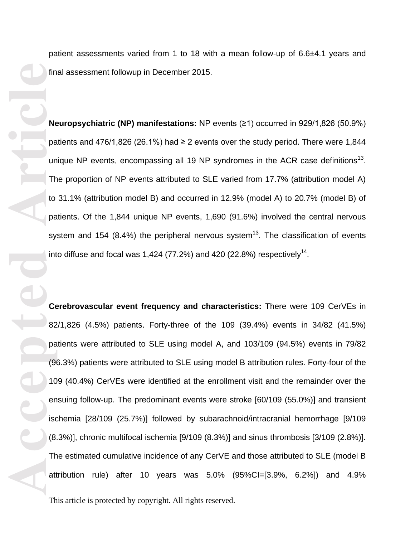patient assessments varied from 1 to 18 with a mean follow-up of 6.6±4.1 years and final assessment followup in December 2015.

**Neuropsychiatric (NP) manifestations:** NP events (≥1) occurred in 929/1,826 (50.9%) patients and 476/1,826 (26.1%) had  $\geq$  2 events over the study period. There were 1,844 unique NP events, encompassing all 19 NP syndromes in the ACR case definitions<sup>13</sup>. The proportion of NP events attributed to SLE varied from 17.7% (attribution model A) to 31.1% (attribution model B) and occurred in 12.9% (model A) to 20.7% (model B) of patients. Of the 1,844 unique NP events, 1,690 (91.6%) involved the central nervous system and 154 (8.4%) the peripheral nervous system<sup>13</sup>. The classification of events into diffuse and focal was 1,424 (77.2%) and 420 (22.8%) respectively<sup>14</sup>.

**Example 10**<br> **Article**<br> **Article**<br> **Article**<br> **Article**<br> **Article**<br> **Article**<br> **Article**<br> **Article**<br> **CG**<br> **AS**<br> **CG**<br> **AR**<br> **CG**<br> **AR**<br> **CG**<br> **AR**<br> **CG**<br> **AR**<br> **AR**<br> **CG**<br> **AR**<br> **DR**<br> **DR**<br> **DR**<br> **DR**<br> **DR**<br> **DR**<br> **DR**<br> **Cerebrovascular event frequency and characteristics:** There were 109 CerVEs in 82/1,826 (4.5%) patients. Forty-three of the 109 (39.4%) events in 34/82 (41.5%) patients were attributed to SLE using model A, and 103/109 (94.5%) events in 79/82 (96.3%) patients were attributed to SLE using model B attribution rules. Forty-four of the 109 (40.4%) CerVEs were identified at the enrollment visit and the remainder over the ensuing follow-up. The predominant events were stroke [60/109 (55.0%)] and transient ischemia [28/109 (25.7%)] followed by subarachnoid/intracranial hemorrhage [9/109 (8.3%)], chronic multifocal ischemia [9/109 (8.3%)] and sinus thrombosis [3/109 (2.8%)]. The estimated cumulative incidence of any CerVE and those attributed to SLE (model B attribution rule) after 10 years was 5.0% (95%CI=[3.9%, 6.2%]) and 4.9%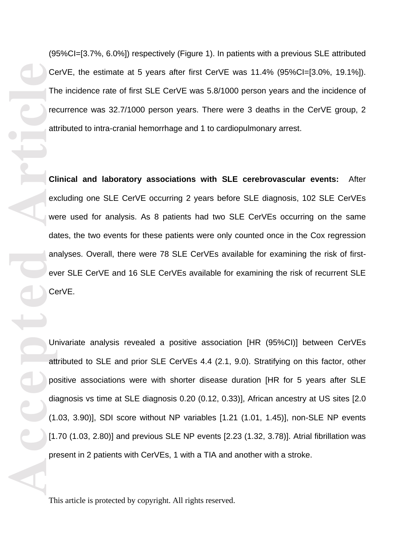(95%CI=[3.7%, 6.0%]) respectively (Figure 1). In patients with a previous SLE attributed CerVE, the estimate at 5 years after first CerVE was 11.4% (95%CI=[3.0%, 19.1%]). The incidence rate of first SLE CerVE was 5.8/1000 person years and the incidence of recurrence was 32.7/1000 person years. There were 3 deaths in the CerVE group, 2 attributed to intra-cranial hemorrhage and 1 to cardiopulmonary arrest.

**Clinical and laboratory associations with SLE cerebrovascular events:** After excluding one SLE CerVE occurring 2 years before SLE diagnosis, 102 SLE CerVEs were used for analysis. As 8 patients had two SLE CerVEs occurring on the same dates, the two events for these patients were only counted once in the Cox regression analyses. Overall, there were 78 SLE CerVEs available for examining the risk of firstever SLE CerVE and 16 SLE CerVEs available for examining the risk of recurrent SLE CerVE.

Univariate analysis revealed a positive association [HR (95%CI)] between CerVEs attributed to SLE and prior SLE CerVEs 4.4 (2.1, 9.0). Stratifying on this factor, other positive associations were with shorter disease duration [HR for 5 years after SLE diagnosis vs time at SLE diagnosis 0.20 (0.12, 0.33)], African ancestry at US sites [2.0 (1.03, 3.90)], SDI score without NP variables [1.21 (1.01, 1.45)], non-SLE NP events [1.70 (1.03, 2.80)] and previous SLE NP events [2.23 (1.32, 3.78)]. Atrial fibrillation was present in 2 patients with CerVEs, 1 with a TIA and another with a stroke.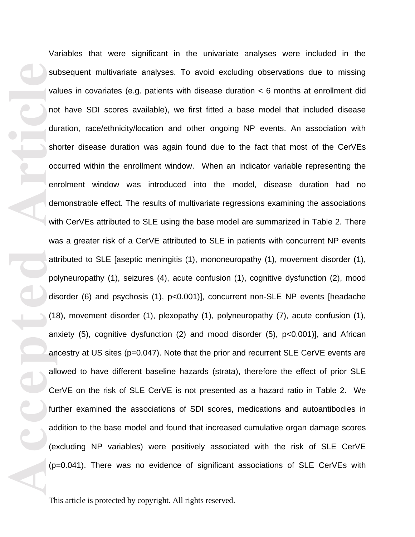**Accepted Article**<br> **Article**<br> **Article**<br> **Article**<br> **Article**<br> **Article**<br> **Article**<br> **Article**<br> **Article**<br> **Article**<br> **Article**<br> **Article**<br> **Article**<br> **Article**<br> **Article**<br> **Article**<br> **Article**<br> **Article**<br> **Article**<br> **A** Variables that were significant in the univariate analyses were included in the subsequent multivariate analyses. To avoid excluding observations due to missing values in covariates (e.g. patients with disease duration  $\lt 6$  months at enrollment did not have SDI scores available), we first fitted a base model that included disease duration, race/ethnicity/location and other ongoing NP events. An association with shorter disease duration was again found due to the fact that most of the CerVEs occurred within the enrollment window. When an indicator variable representing the enrolment window was introduced into the model, disease duration had no demonstrable effect. The results of multivariate regressions examining the associations with CerVEs attributed to SLE using the base model are summarized in Table 2. There was a greater risk of a CerVE attributed to SLE in patients with concurrent NP events attributed to SLE [aseptic meningitis (1), mononeuropathy (1), movement disorder (1), polyneuropathy (1), seizures (4), acute confusion (1), cognitive dysfunction (2), mood disorder (6) and psychosis (1), p<0.001)], concurrent non-SLE NP events [headache (18), movement disorder (1), plexopathy (1), polyneuropathy (7), acute confusion (1), anxiety (5), cognitive dysfunction (2) and mood disorder (5), p<0.001)], and African ancestry at US sites (p=0.047). Note that the prior and recurrent SLE CerVE events are allowed to have different baseline hazards (strata), therefore the effect of prior SLE CerVE on the risk of SLE CerVE is not presented as a hazard ratio in Table 2. We further examined the associations of SDI scores, medications and autoantibodies in addition to the base model and found that increased cumulative organ damage scores (excluding NP variables) were positively associated with the risk of SLE CerVE (p=0.041). There was no evidence of significant associations of SLE CerVEs with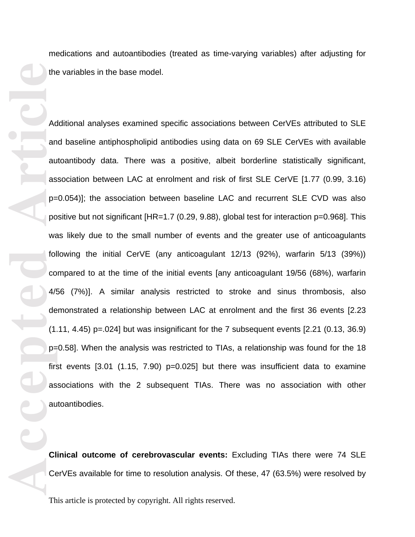medications and autoantibodies (treated as time-varying variables) after adjusting for the variables in the base model.

**Example 19**<br> **Accepted**<br> **Accepted**<br> **Accepted**<br> **Accepted**<br> **Accepted**<br> **Accepted**<br> **Accepted**<br> **Accepted**<br> **Accepted**<br> **Accepted**<br> **Accepted**<br> **Accepted**<br> **Accepted**<br> **Accepted**<br> **Accepted**<br> **Accepted** Additional analyses examined specific associations between CerVEs attributed to SLE and baseline antiphospholipid antibodies using data on 69 SLE CerVEs with available autoantibody data. There was a positive, albeit borderline statistically significant, association between LAC at enrolment and risk of first SLE CerVE [1.77 (0.99, 3.16) p=0.054)]; the association between baseline LAC and recurrent SLE CVD was also positive but not significant [HR=1.7 (0.29, 9.88), global test for interaction p=0.968]. This was likely due to the small number of events and the greater use of anticoagulants following the initial CerVE (any anticoagulant 12/13 (92%), warfarin 5/13 (39%)) compared to at the time of the initial events [any anticoagulant 19/56 (68%), warfarin 4/56 (7%)]. A similar analysis restricted to stroke and sinus thrombosis, also demonstrated a relationship between LAC at enrolment and the first 36 events [2.23  $(1.11, 4.45)$  p=.024] but was insignificant for the 7 subsequent events  $[2.21 (0.13, 36.9)]$ p=0.58]. When the analysis was restricted to TIAs, a relationship was found for the 18 first events  $[3.01 \ (1.15, 7.90)$  p=0.025] but there was insufficient data to examine associations with the 2 subsequent TIAs. There was no association with other autoantibodies.

**Clinical outcome of cerebrovascular events:** Excluding TIAs there were 74 SLE CerVEs available for time to resolution analysis. Of these, 47 (63.5%) were resolved by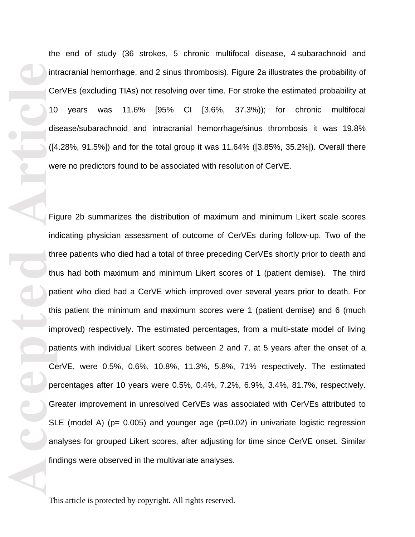the end of study (36 strokes, 5 chronic multifocal disease, 4 subarachnoid and intracranial hemorrhage, and 2 sinus thrombosis). Figure 2a illustrates the probability of CerVEs (excluding TIAs) not resolving over time. For stroke the estimated probability at 10 years was 11.6% [95% CI [3.6%, 37.3%)); for chronic multifocal disease/subarachnoid and intracranial hemorrhage/sinus thrombosis it was 19.8% ([4.28%, 91.5%]) and for the total group it was 11.64% ([3.85%, 35.2%]). Overall there were no predictors found to be associated with resolution of CerVE.

**Accepted Article**<br> **Article**<br> **Article**<br> **Article**<br> **Article**<br> **Article**<br> **Article**<br> **Article**<br> **Article**<br> **Article**<br> **Article**<br> **Article**<br> **Article**<br> **Article**<br> **Article**<br> **Article**<br> **Article**<br> **Article**<br> **Article**<br> **A** Figure 2b summarizes the distribution of maximum and minimum Likert scale scores indicating physician assessment of outcome of CerVEs during follow-up. Two of the three patients who died had a total of three preceding CerVEs shortly prior to death and thus had both maximum and minimum Likert scores of 1 (patient demise). The third patient who died had a CerVE which improved over several years prior to death. For this patient the minimum and maximum scores were 1 (patient demise) and 6 (much improved) respectively. The estimated percentages, from a multi-state model of living patients with individual Likert scores between 2 and 7, at 5 years after the onset of a CerVE, were 0.5%, 0.6%, 10.8%, 11.3%, 5.8%, 71% respectively. The estimated percentages after 10 years were 0.5%, 0.4%, 7.2%, 6.9%, 3.4%, 81.7%, respectively. Greater improvement in unresolved CerVEs was associated with CerVEs attributed to SLE (model A) ( $p= 0.005$ ) and younger age ( $p=0.02$ ) in univariate logistic regression analyses for grouped Likert scores, after adjusting for time since CerVE onset. Similar findings were observed in the multivariate analyses.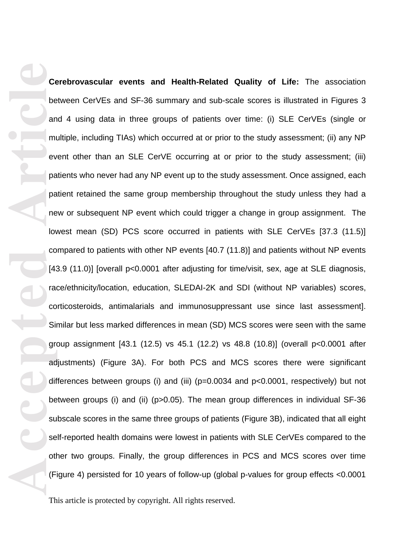**Ce**<br> **Accepted**<br> **Article**<br> **Article**<br> **Article**<br> **Article**<br> **Article**<br> **Article**<br> **Article**<br> **Article**<br> **Article**<br> **Article**<br> **Article**<br> **Article**<br> **Article**<br> **Article**<br> **Article**<br> **Article**<br> **Article**<br> **Article**<br> **Artic Cerebrovascular events and Health-Related Quality of Life:** The association between CerVEs and SF-36 summary and sub-scale scores is illustrated in Figures 3 and 4 using data in three groups of patients over time: (i) SLE CerVEs (single or multiple, including TIAs) which occurred at or prior to the study assessment; (ii) any NP event other than an SLE CerVE occurring at or prior to the study assessment; (iii) patients who never had any NP event up to the study assessment. Once assigned, each patient retained the same group membership throughout the study unless they had a new or subsequent NP event which could trigger a change in group assignment. The lowest mean (SD) PCS score occurred in patients with SLE CerVEs [37.3 (11.5)] compared to patients with other NP events [40.7 (11.8)] and patients without NP events [43.9 (11.0)] [overall p<0.0001 after adjusting for time/visit, sex, age at SLE diagnosis, race/ethnicity/location, education, SLEDAI-2K and SDI (without NP variables) scores, corticosteroids, antimalarials and immunosuppressant use since last assessment]. Similar but less marked differences in mean (SD) MCS scores were seen with the same group assignment [43.1 (12.5) vs 45.1 (12.2) vs 48.8 (10.8)] (overall p<0.0001 after adjustments) (Figure 3A). For both PCS and MCS scores there were significant differences between groups (i) and (iii) (p=0.0034 and p<0.0001, respectively) but not between groups (i) and (ii) (p>0.05). The mean group differences in individual SF-36 subscale scores in the same three groups of patients (Figure 3B), indicated that all eight self-reported health domains were lowest in patients with SLE CerVEs compared to the other two groups. Finally, the group differences in PCS and MCS scores over time (Figure 4) persisted for 10 years of follow-up (global p-values for group effects <0.0001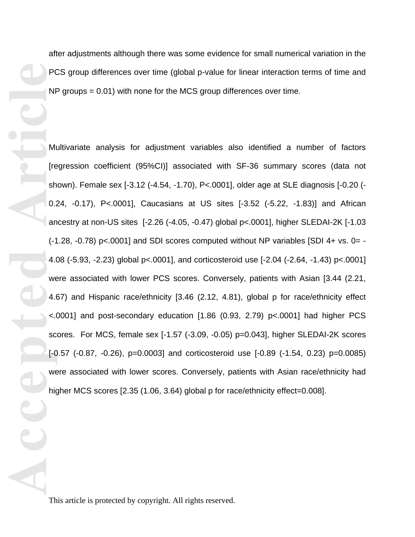PC<br>
NH<br>
In The<br>
So.1 an C.1<br>
So.1 an C.1<br>
4.4<br>
Article<br>
Article<br>
Article<br>
Article<br>
Article<br>
Article<br>
Article<br>
Article<br>
Article<br>
Article<br>
Article<br>
Article<br>
Article<br>
Article<br>
Article<br>
Article<br>
Article<br>
Article<br>
Article<br>
Arti

after adjustments although there was some evidence for small numerical variation in the PCS group differences over time (global p-value for linear interaction terms of time and NP groups = 0.01) with none for the MCS group differences over time.

Multivariate analysis for adjustment variables also identified a number of factors [regression coefficient (95%CI)] associated with SF-36 summary scores (data not shown). Female sex [-3.12 (-4.54, -1.70), P<.0001], older age at SLE diagnosis [-0.20 (- 0.24, -0.17), P<.0001], Caucasians at US sites [-3.52 (-5.22, -1.83)] and African ancestry at non-US sites [-2.26 (-4.05, -0.47) global p<.0001], higher SLEDAI-2K [-1.03  $(-1.28, -0.78)$  p<.0001] and SDI scores computed without NP variables [SDI 4+ vs. 0= -4.08 (-5.93, -2.23) global p<.0001], and corticosteroid use [-2.04 (-2.64, -1.43) p<.0001] were associated with lower PCS scores. Conversely, patients with Asian [3.44 (2.21, 4.67) and Hispanic race/ethnicity [3.46 (2.12, 4.81), global p for race/ethnicity effect <.0001] and post-secondary education [1.86 (0.93, 2.79) p<.0001] had higher PCS scores. For MCS, female sex [-1.57 (-3.09, -0.05) p=0.043], higher SLEDAI-2K scores [-0.57 (-0.87, -0.26), p=0.0003] and corticosteroid use [-0.89 (-1.54, 0.23) p=0.0085) were associated with lower scores. Conversely, patients with Asian race/ethnicity had higher MCS scores [2.35 (1.06, 3.64) global p for race/ethnicity effect=0.008].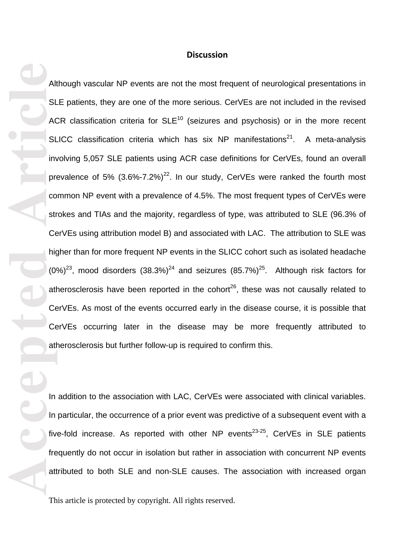### **Discussion**

**Accepted Article**<br> **Article**<br> **Accepted**<br> **Article**<br> **Article**<br> **Article**<br> **Article**<br> **Article**<br> **Article**<br> **Article**<br> **Article**<br> **Article**<br> **Article**<br> **Article**<br> **Article**<br> **Article** Although vascular NP events are not the most frequent of neurological presentations in SLE patients, they are one of the more serious. CerVEs are not included in the revised ACR classification criteria for  $SLE<sup>10</sup>$  (seizures and psychosis) or in the more recent SLICC classification criteria which has six NP manifestations $21$ . A meta-analysis involving 5,057 SLE patients using ACR case definitions for CerVEs, found an overall prevalence of 5%  $(3.6\% - 7.2\%)^{22}$ . In our study, CerVEs were ranked the fourth most common NP event with a prevalence of 4.5%. The most frequent types of CerVEs were strokes and TIAs and the majority, regardless of type, was attributed to SLE (96.3% of CerVEs using attribution model B) and associated with LAC. The attribution to SLE was higher than for more frequent NP events in the SLICC cohort such as isolated headache  $(0\%)^{23}$ , mood disorders  $(38.3\%)^{24}$  and seizures  $(85.7\%)^{25}$ . Although risk factors for atherosclerosis have been reported in the cohort<sup>26</sup>, these was not causally related to CerVEs. As most of the events occurred early in the disease course, it is possible that CerVEs occurring later in the disease may be more frequently attributed to atherosclerosis but further follow-up is required to confirm this.

In addition to the association with LAC, CerVEs were associated with clinical variables. In particular, the occurrence of a prior event was predictive of a subsequent event with a five-fold increase. As reported with other NP events<sup>23-25</sup>, CerVEs in SLE patients frequently do not occur in isolation but rather in association with concurrent NP events attributed to both SLE and non-SLE causes. The association with increased organ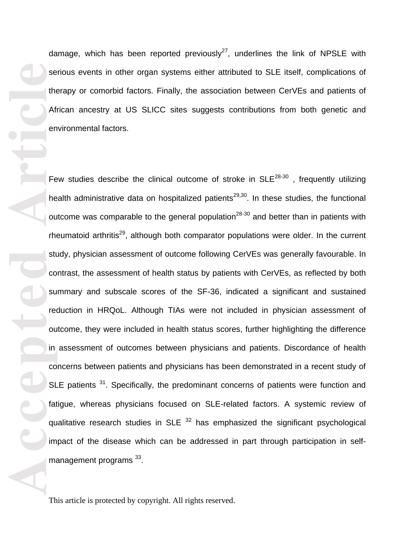damage, which has been reported previously<sup>27</sup>, underlines the link of NPSLE with serious events in other organ systems either attributed to SLE itself, complications of therapy or comorbid factors. Finally, the association between CerVEs and patients of African ancestry at US SLICC sites suggests contributions from both genetic and environmental factors.

**Example 19**<br> **Afi**<br> **Afi**<br> **Afi**<br> **Afi**<br> **Afi**<br> **Afi**<br> **Afi**<br> **Afi**<br> **Afi**<br> **Afi**<br> **Afi**<br> **Afi**<br> **Afi**<br> **Afi**<br> **Afi**<br> **Afi**<br> **Afi**<br> **Afi**<br> **Afi**<br> **Afi**<br> **Afi**<br> **Afi**<br> **Afi**<br> **Afi**<br> **Afi**<br> **Afi**<br> **Afi**<br> **Afi**<br> **Afi**<br> **Afi** Few studies describe the clinical outcome of stroke in  $SLE^{28-30}$ , frequently utilizing health administrative data on hospitalized patients<sup>29,30</sup>. In these studies, the functional outcome was comparable to the general population<sup>28-30</sup> and better than in patients with rheumatoid arthritis<sup>29</sup>, although both comparator populations were older. In the current study, physician assessment of outcome following CerVEs was generally favourable. In contrast, the assessment of health status by patients with CerVEs, as reflected by both summary and subscale scores of the SF-36, indicated a significant and sustained reduction in HRQoL. Although TIAs were not included in physician assessment of outcome, they were included in health status scores, further highlighting the difference in assessment of outcomes between physicians and patients. Discordance of health concerns between patients and physicians has been demonstrated in a recent study of SLE patients <sup>31</sup>. Specifically, the predominant concerns of patients were function and fatigue, whereas physicians focused on SLE-related factors. A systemic review of qualitative research studies in SLE  $32$  has emphasized the significant psychological impact of the disease which can be addressed in part through participation in selfmanagement programs <sup>33</sup>.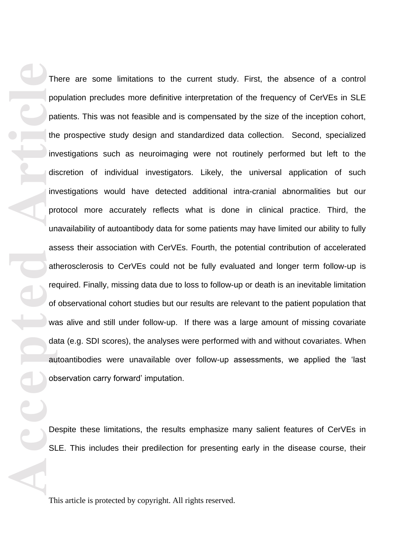The particle and the set of ware of ware and all ober SL There are some limitations to the current study. First, the absence of a control population precludes more definitive interpretation of the frequency of CerVEs in SLE patients. This was not feasible and is compensated by the size of the inception cohort, the prospective study design and standardized data collection. Second, specialized investigations such as neuroimaging were not routinely performed but left to the discretion of individual investigators. Likely, the universal application of such investigations would have detected additional intra-cranial abnormalities but our protocol more accurately reflects what is done in clinical practice. Third, the unavailability of autoantibody data for some patients may have limited our ability to fully assess their association with CerVEs. Fourth, the potential contribution of accelerated atherosclerosis to CerVEs could not be fully evaluated and longer term follow-up is required. Finally, missing data due to loss to follow-up or death is an inevitable limitation of observational cohort studies but our results are relevant to the patient population that was alive and still under follow-up. If there was a large amount of missing covariate data (e.g. SDI scores), the analyses were performed with and without covariates. When autoantibodies were unavailable over follow-up assessments, we applied the 'last observation carry forward' imputation.

Despite these limitations, the results emphasize many salient features of CerVEs in SLE. This includes their predilection for presenting early in the disease course, their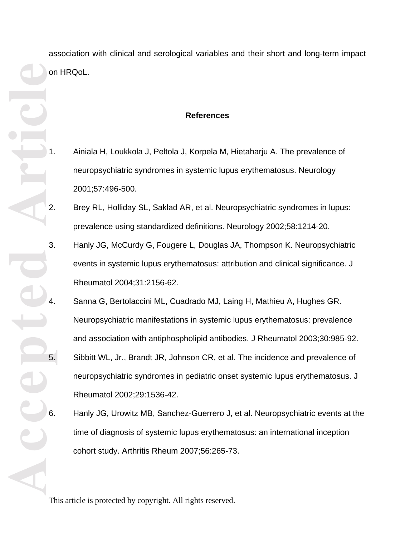association with clinical and serological variables and their short and long-term impact on HRQoL.

## **References**

- 1. Ainiala H, Loukkola J, Peltola J, Korpela M, Hietaharju A. The prevalence of neuropsychiatric syndromes in systemic lupus erythematosus. Neurology 2001;57:496-500.
- 2. Brey RL, Holliday SL, Saklad AR, et al. Neuropsychiatric syndromes in lupus: prevalence using standardized definitions. Neurology 2002;58:1214-20.
- 3. Hanly JG, McCurdy G, Fougere L, Douglas JA, Thompson K. Neuropsychiatric events in systemic lupus erythematosus: attribution and clinical significance. J Rheumatol 2004;31:2156-62.
- 4. Sanna G, Bertolaccini ML, Cuadrado MJ, Laing H, Mathieu A, Hughes GR. Neuropsychiatric manifestations in systemic lupus erythematosus: prevalence and association with antiphospholipid antibodies. J Rheumatol 2003;30:985-92. 5. Sibbitt WL, Jr., Brandt JR, Johnson CR, et al. The incidence and prevalence of neuropsychiatric syndromes in pediatric onset systemic lupus erythematosus. J Rheumatol 2002;29:1536-42.
- 6. Hanly JG, Urowitz MB, Sanchez-Guerrero J, et al. Neuropsychiatric events at the time of diagnosis of systemic lupus erythematosus: an international inception cohort study. Arthritis Rheum 2007;56:265-73.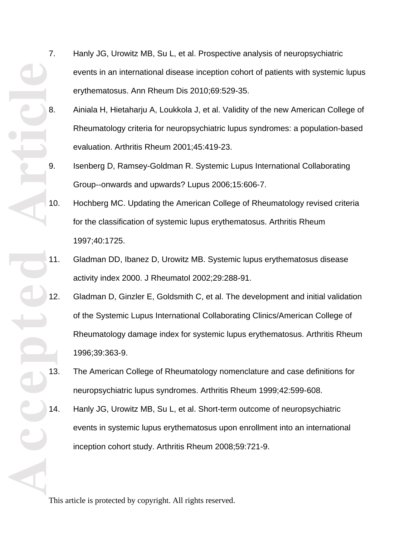- 7. Hanly JG, Urowitz MB, Su L, et al. Prospective analysis of neuropsychiatric events in an international disease inception cohort of patients with systemic lupus erythematosus. Ann Rheum Dis 2010;69:529-35.
- 8. Ainiala H, Hietaharju A, Loukkola J, et al. Validity of the new American College of Rheumatology criteria for neuropsychiatric lupus syndromes: a population-based evaluation. Arthritis Rheum 2001;45:419-23.
- 9. Isenberg D, Ramsey-Goldman R. Systemic Lupus International Collaborating Group--onwards and upwards? Lupus 2006;15:606-7.
- 10. Hochberg MC. Updating the American College of Rheumatology revised criteria for the classification of systemic lupus erythematosus. Arthritis Rheum 1997;40:1725.
- 11. Gladman DD, Ibanez D, Urowitz MB. Systemic lupus erythematosus disease activity index 2000. J Rheumatol 2002;29:288-91.
- Accepted<sup>"</sup> Europe 12. Gladman D, Ginzler E, Goldsmith C, et al. The development and initial validation of the Systemic Lupus International Collaborating Clinics/American College of Rheumatology damage index for systemic lupus erythematosus. Arthritis Rheum 1996;39:363-9.
	- 13. The American College of Rheumatology nomenclature and case definitions for neuropsychiatric lupus syndromes. Arthritis Rheum 1999;42:599-608.
	- 14. Hanly JG, Urowitz MB, Su L, et al. Short-term outcome of neuropsychiatric events in systemic lupus erythematosus upon enrollment into an international inception cohort study. Arthritis Rheum 2008;59:721-9.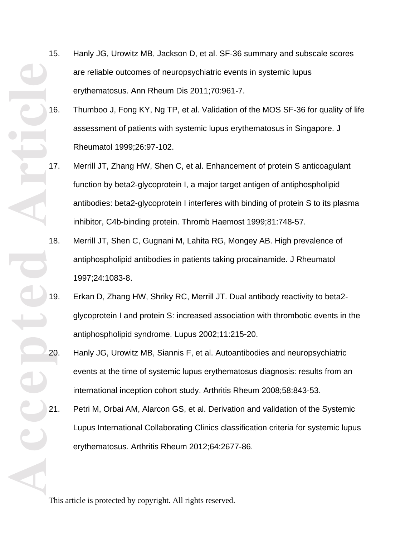- 15. Hanly JG, Urowitz MB, Jackson D, et al. SF-36 summary and subscale scores are reliable outcomes of neuropsychiatric events in systemic lupus erythematosus. Ann Rheum Dis 2011;70:961-7.
- 16. Thumboo J, Fong KY, Ng TP, et al. Validation of the MOS SF-36 for quality of life assessment of patients with systemic lupus erythematosus in Singapore. J Rheumatol 1999;26:97-102.
- 17. Merrill JT, Zhang HW, Shen C, et al. Enhancement of protein S anticoagulant function by beta2-glycoprotein I, a major target antigen of antiphospholipid antibodies: beta2-glycoprotein I interferes with binding of protein S to its plasma inhibitor, C4b-binding protein. Thromb Haemost 1999;81:748-57.
- 18. Merrill JT, Shen C, Gugnani M, Lahita RG, Mongey AB. High prevalence of antiphospholipid antibodies in patients taking procainamide. J Rheumatol 1997;24:1083-8.
- 19. Erkan D, Zhang HW, Shriky RC, Merrill JT. Dual antibody reactivity to beta2 glycoprotein I and protein S: increased association with thrombotic events in the antiphospholipid syndrome. Lupus 2002;11:215-20.
- Accepted \*\* 20. Hanly JG, Urowitz MB, Siannis F, et al. Autoantibodies and neuropsychiatric events at the time of systemic lupus erythematosus diagnosis: results from an international inception cohort study. Arthritis Rheum 2008;58:843-53.
	- 21. Petri M, Orbai AM, Alarcon GS, et al. Derivation and validation of the Systemic Lupus International Collaborating Clinics classification criteria for systemic lupus erythematosus. Arthritis Rheum 2012;64:2677-86.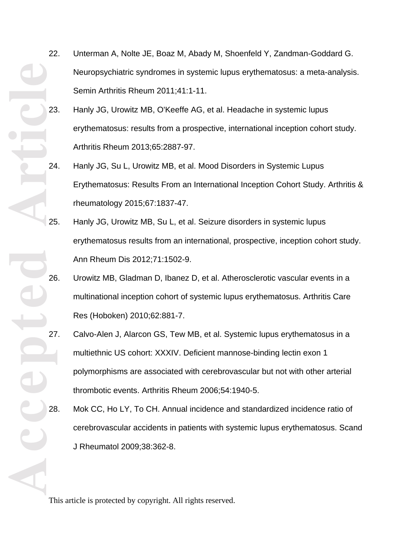- 22. Unterman A, Nolte JE, Boaz M, Abady M, Shoenfeld Y, Zandman-Goddard G. Neuropsychiatric syndromes in systemic lupus erythematosus: a meta-analysis. Semin Arthritis Rheum 2011;41:1-11.
- 23. Hanly JG, Urowitz MB, O'Keeffe AG, et al. Headache in systemic lupus erythematosus: results from a prospective, international inception cohort study. Arthritis Rheum 2013;65:2887-97.
- 24. Hanly JG, Su L, Urowitz MB, et al. Mood Disorders in Systemic Lupus Erythematosus: Results From an International Inception Cohort Study. Arthritis & rheumatology 2015;67:1837-47.
- 25. Hanly JG, Urowitz MB, Su L, et al. Seizure disorders in systemic lupus erythematosus results from an international, prospective, inception cohort study. Ann Rheum Dis 2012;71:1502-9.
- 26. Urowitz MB, Gladman D, Ibanez D, et al. Atherosclerotic vascular events in a multinational inception cohort of systemic lupus erythematosus. Arthritis Care Res (Hoboken) 2010;62:881-7.
- **Accepted Articl**e 27. Calvo-Alen J, Alarcon GS, Tew MB, et al. Systemic lupus erythematosus in a multiethnic US cohort: XXXIV. Deficient mannose-binding lectin exon 1 polymorphisms are associated with cerebrovascular but not with other arterial thrombotic events. Arthritis Rheum 2006;54:1940-5.
	- 28. Mok CC, Ho LY, To CH. Annual incidence and standardized incidence ratio of cerebrovascular accidents in patients with systemic lupus erythematosus. Scand J Rheumatol 2009;38:362-8.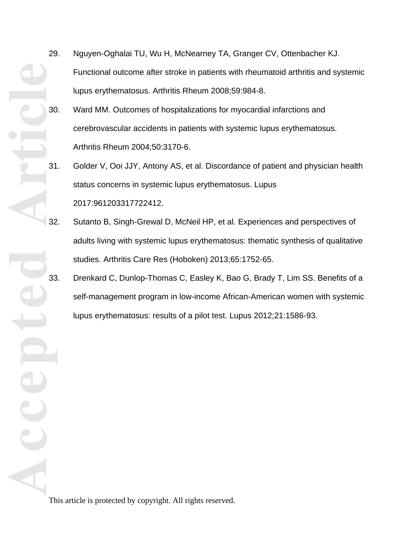- **Accepted Article** 29. Nguyen-Oghalai TU, Wu H, McNearney TA, Granger CV, Ottenbacher KJ. Functional outcome after stroke in patients with rheumatoid arthritis and systemic lupus erythematosus. Arthritis Rheum 2008;59:984-8.
	- 30. Ward MM. Outcomes of hospitalizations for myocardial infarctions and cerebrovascular accidents in patients with systemic lupus erythematosus. Arthritis Rheum 2004;50:3170-6.
	- 31. Golder V, Ooi JJY, Antony AS, et al. Discordance of patient and physician health status concerns in systemic lupus erythematosus. Lupus 2017:961203317722412.
	- 32. Sutanto B, Singh-Grewal D, McNeil HP, et al. Experiences and perspectives of adults living with systemic lupus erythematosus: thematic synthesis of qualitative studies. Arthritis Care Res (Hoboken) 2013;65:1752-65.
	- 33. Drenkard C, Dunlop-Thomas C, Easley K, Bao G, Brady T, Lim SS. Benefits of a self-management program in low-income African-American women with systemic lupus erythematosus: results of a pilot test. Lupus 2012;21:1586-93.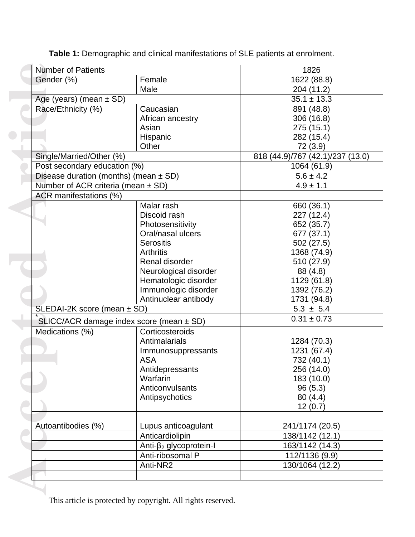| <b>Number of Patients</b>                 |                                | 1826                             |  |  |
|-------------------------------------------|--------------------------------|----------------------------------|--|--|
| Gender (%)                                | Female                         | 1622 (88.8)                      |  |  |
|                                           | Male                           | 204 (11.2)                       |  |  |
| Age (years) (mean $\pm$ SD)               |                                | $35.1 \pm 13.3$                  |  |  |
| Race/Ethnicity (%)                        | Caucasian                      | 891 (48.8)                       |  |  |
|                                           | African ancestry               | 306 (16.8)                       |  |  |
|                                           | Asian                          | 275(15.1)                        |  |  |
|                                           | Hispanic                       | 282 (15.4)                       |  |  |
|                                           | Other                          | 72 (3.9)                         |  |  |
| Single/Married/Other (%)                  |                                | 818 (44.9)/767 (42.1)/237 (13.0) |  |  |
| Post secondary education (%)              |                                | 1064 (61.9)                      |  |  |
| Disease duration (months) (mean $\pm$ SD) |                                | $5.6 \pm 4.2$                    |  |  |
| Number of ACR criteria (mean $\pm$ SD)    |                                | $4.9 \pm 1.1$                    |  |  |
| ACR manifestations (%)                    |                                |                                  |  |  |
|                                           | Malar rash                     | 660 (36.1)                       |  |  |
|                                           | Discoid rash                   | 227 (12.4)                       |  |  |
|                                           | Photosensitivity               | 652 (35.7)                       |  |  |
|                                           | Oral/nasal ulcers              | 677 (37.1)                       |  |  |
|                                           | <b>Serositis</b>               | 502 (27.5)                       |  |  |
|                                           | <b>Arthritis</b>               | 1368 (74.9)                      |  |  |
|                                           | Renal disorder                 | 510 (27.9)                       |  |  |
|                                           | Neurological disorder          | 88 (4.8)                         |  |  |
|                                           | Hematologic disorder           | 1129 (61.8)                      |  |  |
|                                           | Immunologic disorder           | 1392 (76.2)                      |  |  |
|                                           | Antinuclear antibody           | 1731 (94.8)                      |  |  |
| SLEDAI-2K score (mean $\pm$ SD)           |                                | $5.3 \pm 5.4$                    |  |  |
| SLICC/ACR damage index score (mean ± SD)  |                                | $0.31 \pm 0.73$                  |  |  |
| Medications (%)                           | Corticosteroids                |                                  |  |  |
|                                           | Antimalarials                  | 1284 (70.3)                      |  |  |
|                                           | Immunosuppressants             | 1231 (67.4)                      |  |  |
|                                           | <b>ASA</b>                     | 732 (40.1)                       |  |  |
|                                           | Antidepressants                | 256 (14.0)                       |  |  |
|                                           | Warfarin                       | 183 (10.0)                       |  |  |
|                                           | Anticonvulsants                | 96(5.3)                          |  |  |
|                                           | Antipsychotics                 | 80(4.4)                          |  |  |
|                                           |                                | 12(0.7)                          |  |  |
|                                           |                                |                                  |  |  |
| Autoantibodies (%)                        | Lupus anticoagulant            | 241/1174 (20.5)                  |  |  |
|                                           | Anticardiolipin                | 138/1142 (12.1)                  |  |  |
|                                           | Anti- $\beta_2$ glycoprotein-l | 163/1142 (14.3)                  |  |  |
|                                           | Anti-ribosomal P               | 112/1136 (9.9)                   |  |  |
|                                           | Anti-NR2                       | 130/1064 (12.2)                  |  |  |
|                                           |                                |                                  |  |  |

**Table 1:** Demographic and clinical manifestations of SLE patients at enrolment.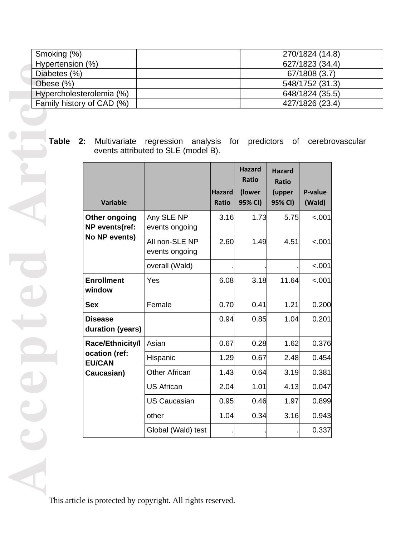| Smoking (%)               | 270/1824 (14.8) |
|---------------------------|-----------------|
| Hypertension (%)          | 627/1823 (34.4) |
| Diabetes (%)              | 67/1808 (3.7)   |
| Obese $(\%)$              | 548/1752 (31.3) |
| Hypercholesterolemia (%)  | 648/1824 (35.5) |
| Family history of CAD (%) | 427/1826 (23.4) |

**Table 2:** Multivariate regression analysis for predictors of cerebrovascular events attributed to SLE (model B).

| <b>Variable</b>                                                  |                                  | <b>Hazard</b><br><b>Ratio</b> | <b>Hazard</b><br>Ratio<br>(lower<br>95% CI) | <b>Hazard</b><br>Ratio<br>(upper<br>95% CI) | P-value<br>(Wald) |
|------------------------------------------------------------------|----------------------------------|-------------------------------|---------------------------------------------|---------------------------------------------|-------------------|
| Other ongoing<br>NP events(ref:<br>No NP events)                 | Any SLE NP<br>events ongoing     | 3.16                          | 1.73                                        | 5.75                                        | $-.001$           |
|                                                                  | All non-SLE NP<br>events ongoing | 2.60                          | 1.49                                        | 4.51                                        | $-.001$           |
|                                                                  | overall (Wald)                   |                               |                                             |                                             | < .001            |
| <b>Enrollment</b><br>window                                      | Yes                              | 6.08                          | 3.18                                        | 11.64                                       | < .001            |
| <b>Sex</b>                                                       | Female                           | 0.70                          | 0.41                                        | 1.21                                        | 0.200             |
| <b>Disease</b><br>duration (years)                               |                                  | 0.94                          | 0.85                                        | 1.04                                        | 0.201             |
| Race/Ethnicity/I<br>ocation (ref:<br><b>EU/CAN</b><br>Caucasian) | Asian                            | 0.67                          | 0.28                                        | 1.62                                        | 0.376             |
|                                                                  | Hispanic                         | 1.29                          | 0.67                                        | 2.48                                        | 0.454             |
|                                                                  | <b>Other African</b>             | 1.43                          | 0.64                                        | 3.19                                        | 0.381             |
|                                                                  | <b>US African</b>                | 2.04                          | 1.01                                        | 4.13                                        | 0.047             |
|                                                                  | <b>US Caucasian</b>              | 0.95                          | 0.46                                        | 1.97                                        | 0.899             |
|                                                                  | other                            | 1.04                          | 0.34                                        | 3.16                                        | 0.943             |
|                                                                  | Global (Wald) test               |                               |                                             |                                             | 0.337             |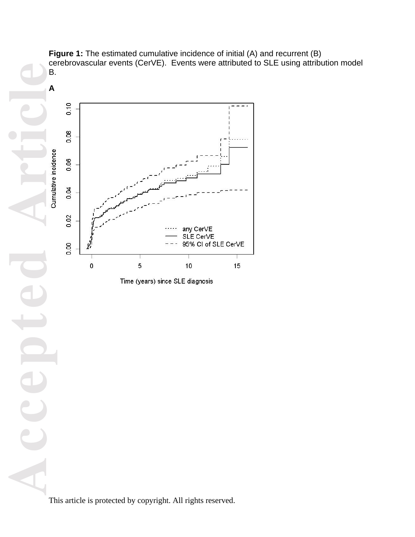

**Figure 1:** The estimated cumulative incidence of initial (A) and recurrent (B) cerebrovascular events (CerVE). Events were attributed to SLE using attribution model

Time (years) since SLE diagnosis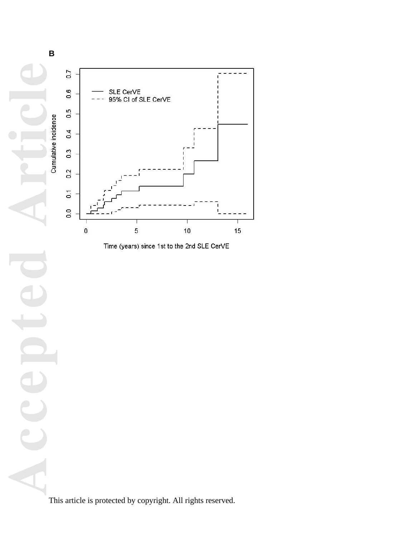

Time (years) since 1st to the 2nd SLE CerVE

Accepted Article **B**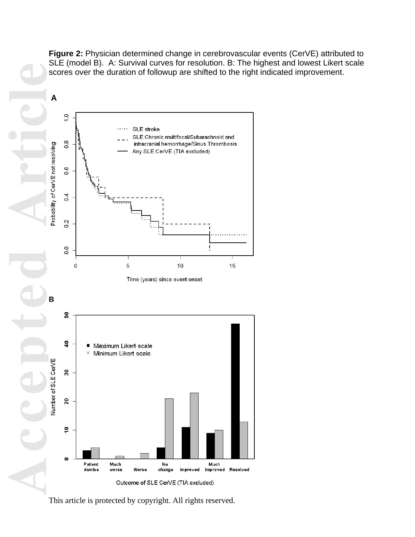**Figure 2:** Physician determined change in cerebrovascular events (CerVE) attributed to SLE (model B). A: Survival curves for resolution. B: The highest and lowest Likert scale scores over the duration of followup are shifted to the right indicated improvement.

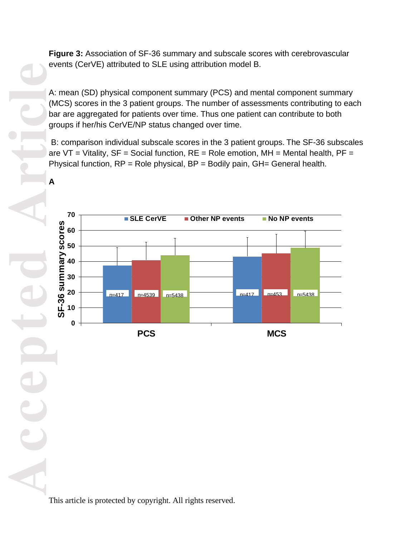**Figure 3:** Association of SF-36 summary and subscale scores with cerebrovascular events (CerVE) attributed to SLE using attribution model B.

A: mean (SD) physical component summary (PCS) and mental component summary (MCS) scores in the 3 patient groups. The number of assessments contributing to each bar are aggregated for patients over time. Thus one patient can contribute to both groups if her/his CerVE/NP status changed over time.

B: comparison individual subscale scores in the 3 patient groups. The SF-36 subscales are  $VT = Vitality$ ,  $SF = Social function$ ,  $RE = Role$  emotion,  $MH = Mental$  health,  $PF =$ Physical function,  $RP = R$ ole physical,  $BP = B$ odily pain,  $GH = G$ eneral health.



This article is protected by copyright. All rights reserved.

**A**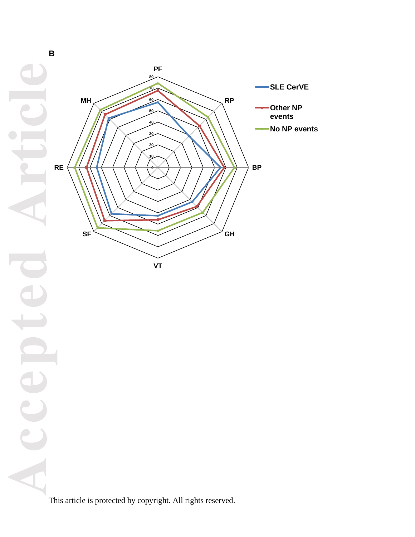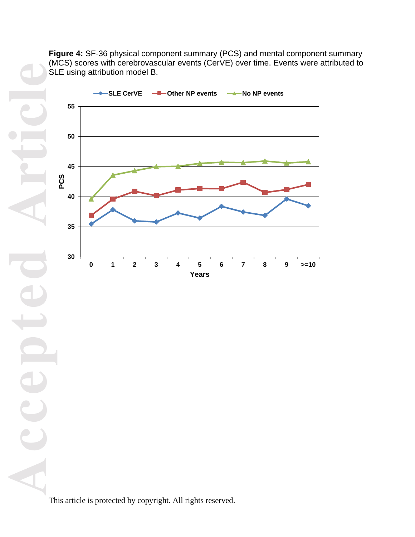**Figure 4:** SF-36 physical component summary (PCS) and mental component summary (MCS) scores with cerebrovascular events (CerVE) over time. Events were attributed to SLE using attribution model B.